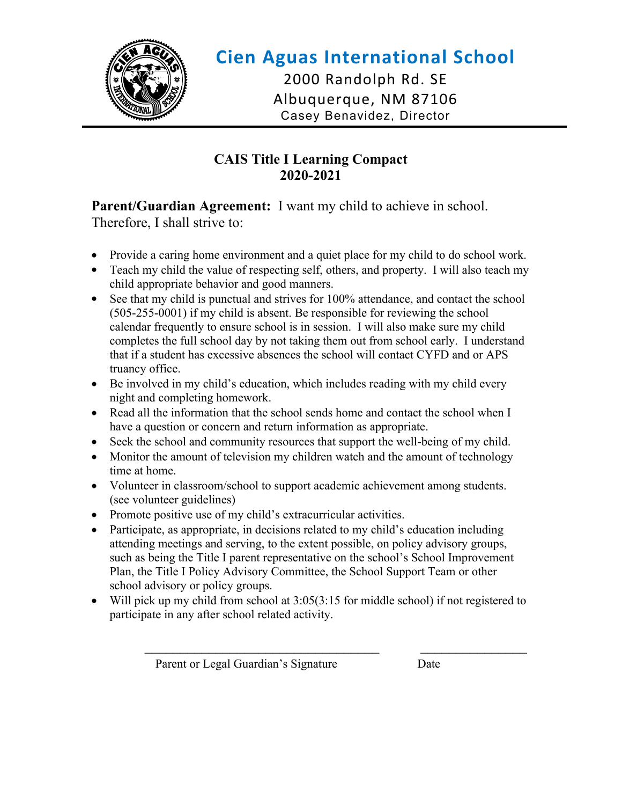

## **Cien Aguas International School** 2000 Randolph Rd. SE Albuquerque, NM 87106 Casey Benavidez, Director

#### **CAIS Title I Learning Compact 2020-2021**

**Parent/Guardian Agreement:** I want my child to achieve in school. Therefore, I shall strive to:

- Provide a caring home environment and a quiet place for my child to do school work.
- Teach my child the value of respecting self, others, and property. I will also teach my child appropriate behavior and good manners.
- See that my child is punctual and strives for 100% attendance, and contact the school (505-255-0001) if my child is absent. Be responsible for reviewing the school calendar frequently to ensure school is in session. I will also make sure my child completes the full school day by not taking them out from school early. I understand that if a student has excessive absences the school will contact CYFD and or APS truancy office.
- Be involved in my child's education, which includes reading with my child every night and completing homework.
- Read all the information that the school sends home and contact the school when I have a question or concern and return information as appropriate.
- Seek the school and community resources that support the well-being of my child.
- Monitor the amount of television my children watch and the amount of technology time at home.
- Volunteer in classroom/school to support academic achievement among students. (see volunteer guidelines)
- Promote positive use of my child's extracurricular activities.
- Participate, as appropriate, in decisions related to my child's education including attending meetings and serving, to the extent possible, on policy advisory groups, such as being the Title I parent representative on the school's School Improvement Plan, the Title I Policy Advisory Committee, the School Support Team or other school advisory or policy groups.
- Will pick up my child from school at 3:05(3:15 for middle school) if not registered to participate in any after school related activity.

Parent or Legal Guardian's Signature Date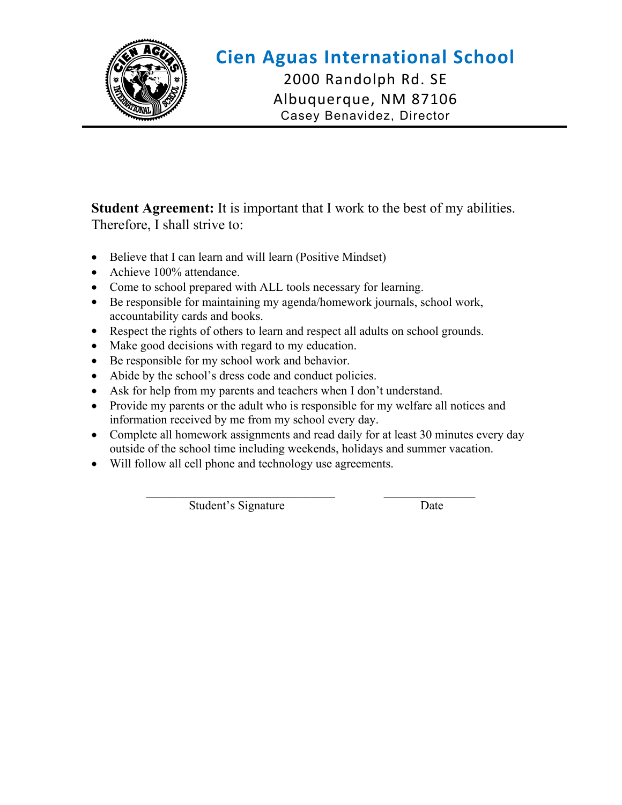

## **Cien Aguas International School** 2000 Randolph Rd. SE

Albuquerque, NM 87106 Casey Benavidez, Director

**Student Agreement:** It is important that I work to the best of my abilities. Therefore, I shall strive to:

- Believe that I can learn and will learn (Positive Mindset)
- Achieve 100% attendance.
- Come to school prepared with ALL tools necessary for learning.
- Be responsible for maintaining my agenda/homework journals, school work, accountability cards and books.
- Respect the rights of others to learn and respect all adults on school grounds.
- Make good decisions with regard to my education.
- Be responsible for my school work and behavior.
- Abide by the school's dress code and conduct policies.
- Ask for help from my parents and teachers when I don't understand.
- Provide my parents or the adult who is responsible for my welfare all notices and information received by me from my school every day.
- Complete all homework assignments and read daily for at least 30 minutes every day outside of the school time including weekends, holidays and summer vacation.
- Will follow all cell phone and technology use agreements.

 $\mathcal{L}_\text{max} = \frac{1}{2} \sum_{i=1}^{n} \frac{1}{2} \sum_{i=1}^{n} \frac{1}{2} \sum_{i=1}^{n} \frac{1}{2} \sum_{i=1}^{n} \frac{1}{2} \sum_{i=1}^{n} \frac{1}{2} \sum_{i=1}^{n} \frac{1}{2} \sum_{i=1}^{n} \frac{1}{2} \sum_{i=1}^{n} \frac{1}{2} \sum_{i=1}^{n} \frac{1}{2} \sum_{i=1}^{n} \frac{1}{2} \sum_{i=1}^{n} \frac{1}{2} \sum_{i=1}^{n} \frac{1$ Student's Signature Date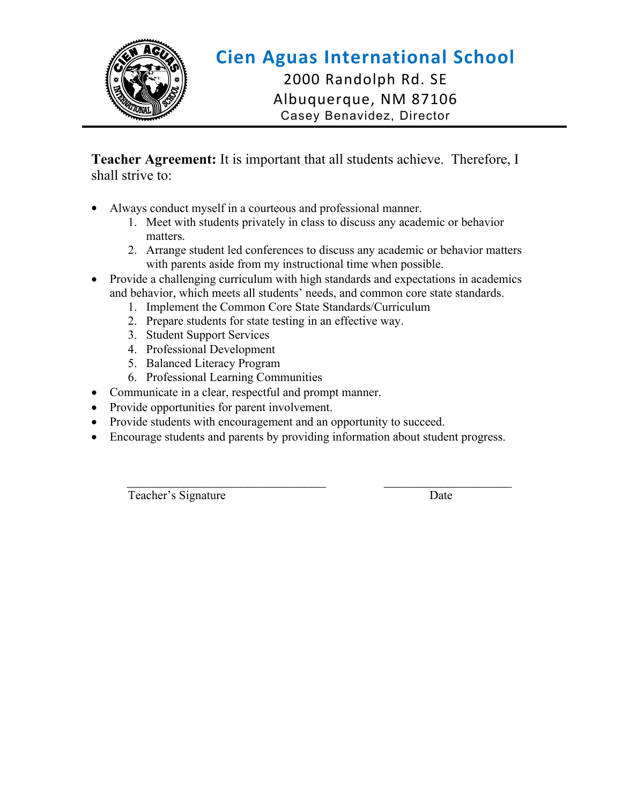

# **Cien Aguas International School**

2000 Randolph Rd. SE Albuquerque, NM 87106 Casey Benavidez, Director

**Teacher Agreement:** It is important that all students achieve. Therefore, I shall strive to:

- Always conduct myself in a courteous and professional manner.
	- 1. Meet with students privately in class to discuss any academic or behavior matters.
	- 2. Arrange student led conferences to discuss any academic or behavior matters with parents aside from my instructional time when possible.
- Provide a challenging curriculum with high standards and expectations in academics and behavior, which meets all students' needs, and common core state standards.
	- 1. Implement the Common Core State Standards/Curriculum
	- 2. Prepare students for state testing in an effective way.
	- 3. Student Support Services
	- 4. Professional Development
	- 5. Balanced Literacy Program
	- 6. Professional Learning Communities
- Communicate in a clear, respectful and prompt manner.
- Provide opportunities for parent involvement.
- Provide students with encouragement and an opportunity to succeed.
- Encourage students and parents by providing information about student progress.

Teacher's Signature Date

 $\mathcal{L}_\text{max} = \frac{1}{2} \sum_{i=1}^{n} \frac{1}{2} \sum_{i=1}^{n} \frac{1}{2} \sum_{i=1}^{n} \frac{1}{2} \sum_{i=1}^{n} \frac{1}{2} \sum_{i=1}^{n} \frac{1}{2} \sum_{i=1}^{n} \frac{1}{2} \sum_{i=1}^{n} \frac{1}{2} \sum_{i=1}^{n} \frac{1}{2} \sum_{i=1}^{n} \frac{1}{2} \sum_{i=1}^{n} \frac{1}{2} \sum_{i=1}^{n} \frac{1}{2} \sum_{i=1}^{n} \frac{1$